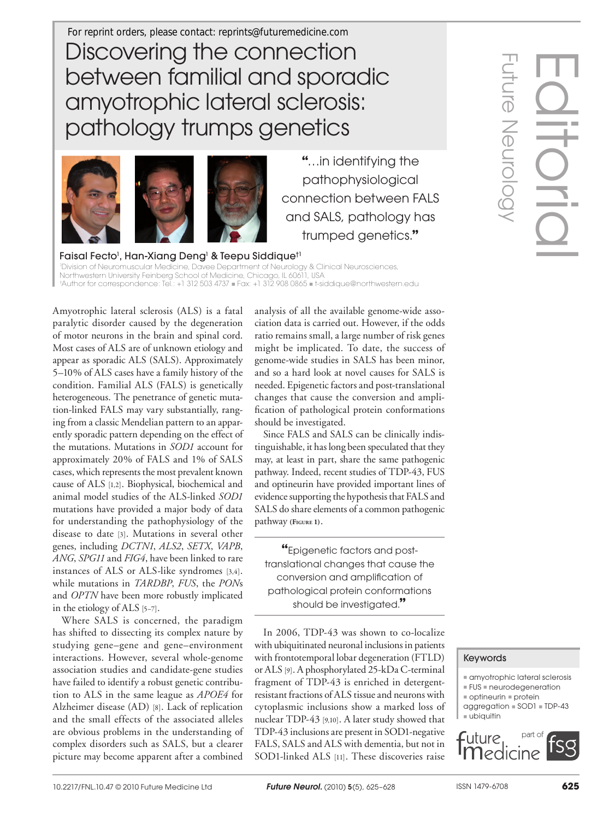## Discovering the connection between familial and sporadic amyotrophic lateral sclerosis: pathology trumps genetics





**"**…in identifying the pathophysiological connection between FALS and SALS, pathology has trumped genetics.**"**

Faisal Fecto', Han-Xiang Deng' & Teepu Siddique†' 1 Division of Neuromuscular Medicine, Davee Department of Neurology & Clinical Neurosciences, Northwestern University Feinberg School of Medicine, Chicago, IL 60611, USA † Author for correspondence: Tel.: +1 312 503 4737 n Fax: +1 312 908 0865 n t-siddique@northwestern.edu

Amyotrophic lateral sclerosis (ALS) is a fatal paralytic disorder caused by the degeneration of motor neurons in the brain and spinal cord. Most cases of ALS are of unknown etiology and appear as sporadic ALS (SALS). Approximately 5–10% of ALS cases have a family history of the condition. Familial ALS (FALS) is genetically heterogeneous. The penetrance of genetic mutation-linked FALS may vary substantially, ranging from a classic Mendelian pattern to an apparently sporadic pattern depending on the effect of the mutations. Mutations in *SOD1* account for approximately 20% of FALS and 1% of SALS cases, which represents the most prevalent known cause of ALS [1,2]. Biophysical, biochemical and animal model studies of the ALS-linked *SOD1* mutations have provided a major body of data for understanding the pathophysiology of the disease to date [3]. Mutations in several other genes, including *DCTN1*, *ALS2*, *SETX*, *VAPB*, *ANG*, *SPG11* and *FIG4*, have been linked to rare instances of ALS or ALS-like syndromes [3,4]. while mutations in *TARDBP*, *FUS*, the *PON*s and *OPTN* have been more robustly implicated in the etiology of ALS [5–7].

Where SALS is concerned, the paradigm has shifted to dissecting its complex nature by studying gene–gene and gene–environment interactions. However, several whole-genome association studies and candidate-gene studies have failed to identify a robust genetic contribution to ALS in the same league as *APOE4* for Alzheimer disease (AD) [8]. Lack of replication and the small effects of the associated alleles are obvious problems in the understanding of complex disorders such as SALS, but a clearer picture may become apparent after a combined analysis of all the available genome-wide association data is carried out. However, if the odds ratio remains small, a large number of risk genes might be implicated. To date, the success of genome-wide studies in SALS has been minor, and so a hard look at novel causes for SALS is needed. Epigenetic factors and post-translational changes that cause the conversion and amplification of pathological protein conformations should be investigated.

Since FALS and SALS can be clinically indistinguishable, it has long been speculated that they may, at least in part, share the same pathogenic pathway. Indeed, recent studies of TDP-43, FUS and optineurin have provided important lines of evidence supporting the hypothesis that FALS and SALS do share elements of a common pathogenic pathway **(Figure 1)**.

**"**Epigenetic factors and posttranslational changes that cause the conversion and amplification of pathological protein conformations should be investigated.**"**

In 2006, TDP-43 was shown to co-localize with ubiquitinated neuronal inclusions in patients with frontotemporal lobar degeneration (FTLD) or ALS [9]. A phosphorylated 25-kDa C-terminal fragment of TDP-43 is enriched in detergentresistant fractions of ALS tissue and neurons with cytoplasmic inclusions show a marked loss of nuclear TDP-43 [9,10]. A later study showed that TDP-43 inclusions are present in SOD1-negative FALS, SALS and ALS with dementia, but not in SOD1-linked ALS [11]. These discoveries raise

## Keywords

- n amyotrophic lateral sclerosis
- $I$  FUS  $=$  neurodegeneration
- $=$  optineurin  $=$  protein

 $aggregation = SOL1 = TDP-43$  $u$  ubiquitin

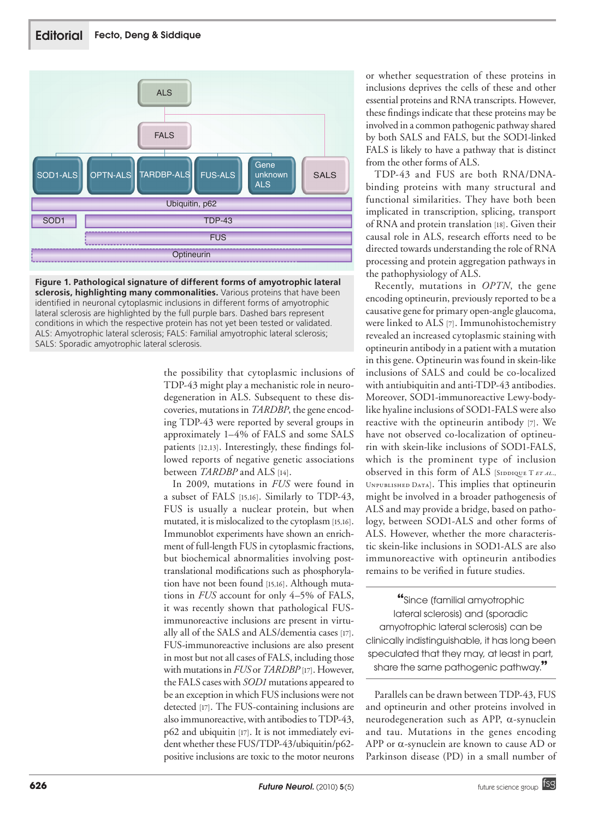



the possibility that cytoplasmic inclusions of TDP-43 might play a mechanistic role in neurodegeneration in ALS. Subsequent to these discoveries, mutations in *TARDBP*, the gene encoding TDP-43 were reported by several groups in approximately 1–4% of FALS and some SALS patients [12,13]. Interestingly, these findings followed reports of negative genetic associations between *TARDBP* and ALS [14].

In 2009, mutations in *FUS* were found in a subset of FALS [15,16]. Similarly to TDP-43, FUS is usually a nuclear protein, but when mutated, it is mislocalized to the cytoplasm [15,16]. Immunoblot experiments have shown an enrichment of full-length FUS in cytoplasmic fractions, but biochemical abnormalities involving posttranslational modifications such as phosphorylation have not been found [15,16]. Although mutations in *FUS* account for only 4–5% of FALS, it was recently shown that pathological FUSimmunoreactive inclusions are present in virtually all of the SALS and ALS/dementia cases [17]. FUS-immunoreactive inclusions are also present in most but not all cases of FALS, including those with mutations in *FUS* or *TARDBP* [17]. However, the FALS cases with *SOD1* mutations appeared to be an exception in which FUS inclusions were not detected [17]. The FUS-containing inclusions are also immunoreactive, with antibodies to TDP-43, p62 and ubiquitin [17]. It is not immediately evident whether these FUS/TDP-43/ubiquitin/p62 positive inclusions are toxic to the motor neurons or whether sequestration of these proteins in inclusions deprives the cells of these and other essential proteins and RNA transcripts. However, these findings indicate that these proteins may be involved in a common pathogenic pathway shared by both SALS and FALS, but the SOD1-linked FALS is likely to have a pathway that is distinct from the other forms of ALS.

TDP-43 and FUS are both RNA/DNAbinding proteins with many structural and functional similarities. They have both been implicated in transcription, splicing, transport of RNA and protein translation [18]. Given their causal role in ALS, research efforts need to be directed towards understanding the role of RNA processing and protein aggregation pathways in the pathophysiology of ALS.

Recently, mutations in *OPTN*, the gene encoding optineurin, previously reported to be a causative gene for primary open-angle glaucoma, were linked to ALS [7]. Immunohistochemistry revealed an increased cytoplasmic staining with optineurin antibody in a patient with a mutation in this gene. Optineurin was found in skein-like inclusions of SALS and could be co-localized with antiubiquitin and anti-TDP-43 antibodies. Moreover, SOD1-immunoreactive Lewy-bodylike hyaline inclusions of SOD1-FALS were also reactive with the optineurin antibody [7]. We have not observed co-localization of optineurin with skein-like inclusions of SOD1-FALS, which is the prominent type of inclusion observed in this form of ALS  $\beta$  [SIDDIQUE T *ET AL.*, Unpublished Data]. This implies that optineurin might be involved in a broader pathogenesis of ALS and may provide a bridge, based on pathology, between SOD1-ALS and other forms of ALS. However, whether the more characteristic skein-like inclusions in SOD1-ALS are also immunoreactive with optineurin antibodies remains to be verified in future studies.

**"**Since [familial amyotrophic lateral sclerosis] and [sporadic amyotrophic lateral sclerosis] can be clinically indistinguishable, it has long been speculated that they may, at least in part, share the same pathogenic pathway.**"**

Parallels can be drawn between TDP-43, FUS and optineurin and other proteins involved in neurodegeneration such as APP,  $\alpha$ -synuclein and tau. Mutations in the genes encoding APP or  $\alpha$ -synuclein are known to cause AD or Parkinson disease (PD) in a small number of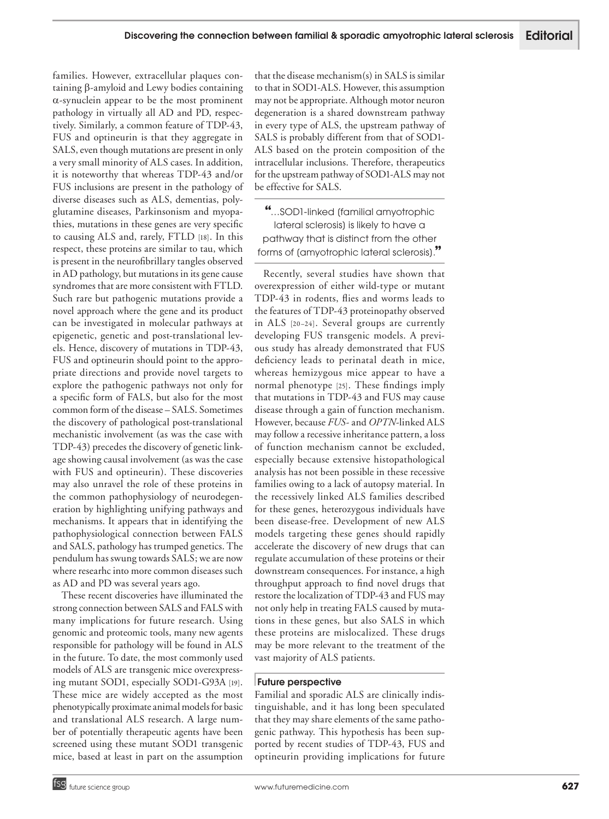families. However, extracellular plaques containing b-amyloid and Lewy bodies containing  $\alpha$ -synuclein appear to be the most prominent pathology in virtually all AD and PD, respectively. Similarly, a common feature of TDP-43, FUS and optineurin is that they aggregate in SALS, even though mutations are present in only a very small minority of ALS cases. In addition, it is noteworthy that whereas TDP-43 and/or FUS inclusions are present in the pathology of diverse diseases such as ALS, dementias, polyglutamine diseases, Parkinsonism and myopathies, mutations in these genes are very specific to causing ALS and, rarely, FTLD [18]. In this respect, these proteins are similar to tau, which is present in the neurofibrillary tangles observed in AD pathology, but mutations in its gene cause syndromes that are more consistent with FTLD. Such rare but pathogenic mutations provide a novel approach where the gene and its product can be investigated in molecular pathways at epigenetic, genetic and post-translational levels. Hence, discovery of mutations in TDP-43, FUS and optineurin should point to the appropriate directions and provide novel targets to explore the pathogenic pathways not only for a specific form of FALS, but also for the most common form of the disease – SALS. Sometimes the discovery of pathological post-translational mechanistic involvement (as was the case with TDP-43) precedes the discovery of genetic linkage showing causal involvement (as was the case with FUS and optineurin). These discoveries may also unravel the role of these proteins in the common pathophysiology of neurodegeneration by highlighting unifying pathways and mechanisms. It appears that in identifying the pathophysiological connection between FALS and SALS, pathology has trumped genetics. The pendulum has swung towards SALS; we are now where researhc into more common diseases such as AD and PD was several years ago.

These recent discoveries have illuminated the strong connection between SALS and FALS with many implications for future research. Using genomic and proteomic tools, many new agents responsible for pathology will be found in ALS in the future. To date, the most commonly used models of ALS are transgenic mice overexpressing mutant SOD1, especially SOD1-G93A [19]. These mice are widely accepted as the most phenotypically proximate animal models for basic and translational ALS research. A large number of potentially therapeutic agents have been screened using these mutant SOD1 transgenic mice, based at least in part on the assumption that the disease mechanism(s) in SALS is similar to that in SOD1-ALS. However, this assumption may not be appropriate. Although motor neuron degeneration is a shared downstream pathway in every type of ALS, the upstream pathway of SALS is probably different from that of SOD1- ALS based on the protein composition of the intracellular inclusions. Therefore, therapeutics for the upstream pathway of SOD1-ALS may not be effective for SALS.

**"**…SOD1-linked [familial amyotrophic lateral sclerosis] is likely to have a pathway that is distinct from the other forms of [amyotrophic lateral sclerosis].**"**

Recently, several studies have shown that overexpression of either wild-type or mutant TDP-43 in rodents, flies and worms leads to the features of TDP-43 proteinopathy observed in ALS [20–24]. Several groups are currently developing FUS transgenic models. A previous study has already demonstrated that FUS deficiency leads to perinatal death in mice, whereas hemizygous mice appear to have a normal phenotype [25]. These findings imply that mutations in TDP-43 and FUS may cause disease through a gain of function mechanism. However, because *FUS*- and *OPTN*-linked ALS may follow a recessive inheritance pattern, a loss of function mechanism cannot be excluded, especially because extensive histopathological analysis has not been possible in these recessive families owing to a lack of autopsy material. In the recessively linked ALS families described for these genes, heterozygous individuals have been disease-free. Development of new ALS models targeting these genes should rapidly accelerate the discovery of new drugs that can regulate accumulation of these proteins or their downstream consequences. For instance, a high throughput approach to find novel drugs that restore the localization of TDP-43 and FUS may not only help in treating FALS caused by mutations in these genes, but also SALS in which these proteins are mislocalized. These drugs may be more relevant to the treatment of the vast majority of ALS patients.

## Future perspective

Familial and sporadic ALS are clinically indistinguishable, and it has long been speculated that they may share elements of the same pathogenic pathway. This hypothesis has been supported by recent studies of TDP-43, FUS and optineurin providing implications for future